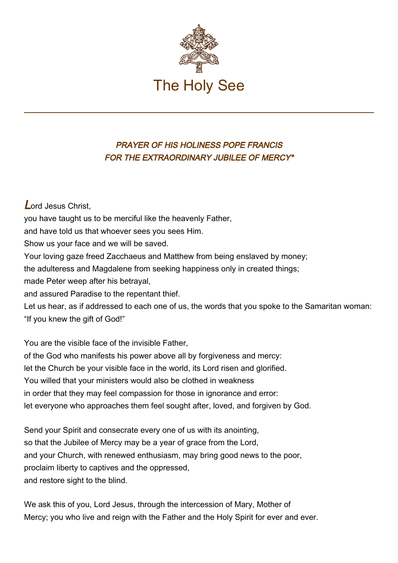

## PRAYER OF HIS HOLINESS POPE FRANCIS FOR THE EXTRAORDINARY JUBILEE OF MERCY\*

Lord Jesus Christ,

you have taught us to be merciful like the heavenly Father,

and have told us that whoever sees you sees Him.

Show us your face and we will be saved.

Your loving gaze freed Zacchaeus and Matthew from being enslaved by money;

the adulteress and Magdalene from seeking happiness only in created things;

made Peter weep after his betrayal,

and assured Paradise to the repentant thief.

Let us hear, as if addressed to each one of us, the words that you spoke to the Samaritan woman: "If you knew the gift of God!"

You are the visible face of the invisible Father,

of the God who manifests his power above all by forgiveness and mercy: let the Church be your visible face in the world, its Lord risen and glorified. You willed that your ministers would also be clothed in weakness in order that they may feel compassion for those in ignorance and error: let everyone who approaches them feel sought after, loved, and forgiven by God.

Send your Spirit and consecrate every one of us with its anointing, so that the Jubilee of Mercy may be a year of grace from the Lord, and your Church, with renewed enthusiasm, may bring good news to the poor, proclaim liberty to captives and the oppressed, and restore sight to the blind.

We ask this of you, Lord Jesus, through the intercession of Mary, Mother of Mercy; you who live and reign with the Father and the Holy Spirit for ever and ever.